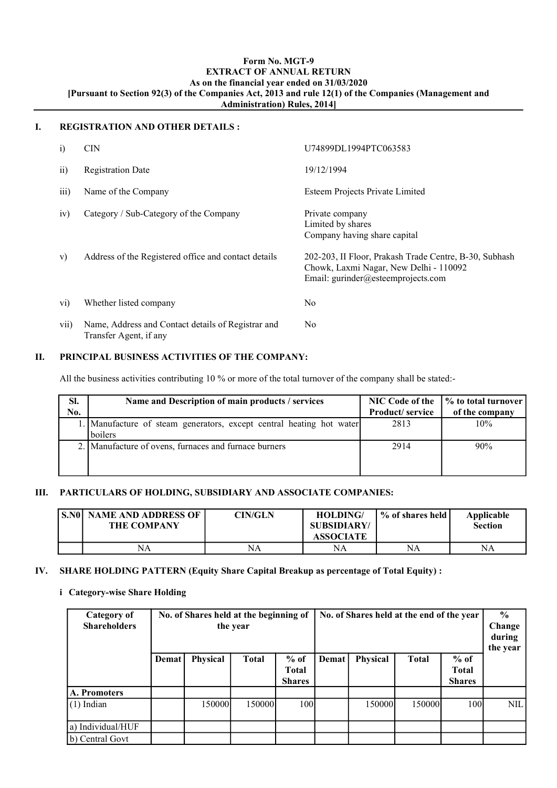#### Form No. MGT-9 EXTRACT OF ANNUAL RETURN As on the financial year ended on 31/03/2020 [Pursuant to Section 92(3) of the Companies Act, 2013 and rule 12(1) of the Companies (Management and Administration) Rules, 2014]

#### I. REGISTRATION AND OTHER DETAILS :

| $\mathbf{i}$            | <b>CIN</b>                                                                   | U74899DL1994PTC063583                                                                                                                  |
|-------------------------|------------------------------------------------------------------------------|----------------------------------------------------------------------------------------------------------------------------------------|
| $\overline{11}$         | <b>Registration Date</b>                                                     | 19/12/1994                                                                                                                             |
| iii)                    | Name of the Company                                                          | Esteem Projects Private Limited                                                                                                        |
| iv)                     | Category / Sub-Category of the Company                                       | Private company<br>Limited by shares<br>Company having share capital                                                                   |
| V)                      | Address of the Registered office and contact details                         | 202-203, II Floor, Prakash Trade Centre, B-30, Subhash<br>Chowk, Laxmi Nagar, New Delhi - 110092<br>Email: gurinder@esteemprojects.com |
| $\rm{vi)}$              | Whether listed company                                                       | No                                                                                                                                     |
| $\overline{\text{vii}}$ | Name, Address and Contact details of Registrar and<br>Transfer Agent, if any | No.                                                                                                                                    |

#### II. PRINCIPAL BUSINESS ACTIVITIES OF THE COMPANY:

All the business activities contributing 10 % or more of the total turnover of the company shall be stated:-

| SI. | Name and Description of main products / services                                | <b>NIC Code of the</b> | │% to total turnover |  |
|-----|---------------------------------------------------------------------------------|------------------------|----------------------|--|
| No. |                                                                                 | <b>Product/service</b> | of the company       |  |
|     | 1. Manufacture of steam generators, except central heating hot water<br>boilers | 2813                   | 10%                  |  |
|     | 2. Manufacture of ovens, furnaces and furnace burners                           | 2914                   | 90%                  |  |

#### III. PARTICULARS OF HOLDING, SUBSIDIARY AND ASSOCIATE COMPANIES:

| l S.NOI | <b>NAME AND ADDRESS OF</b><br><b>THE COMPANY</b> | CIN/GLN | <b>HOLDING/</b><br>SUBSIDIARY/<br><b>ASSOCIATE</b> | % of shares held | Applicable<br><b>Section</b> |
|---------|--------------------------------------------------|---------|----------------------------------------------------|------------------|------------------------------|
|         | NA                                               | NA      | NA                                                 | NA               | NA                           |

### IV. SHARE HOLDING PATTERN (Equity Share Capital Breakup as percentage of Total Equity) :

#### i Category-wise Share Holding

| No. of Shares held at the beginning of<br>Category of<br><b>Shareholders</b><br>the year |       |          |              |                                         | No. of Shares held at the end of the year | $\frac{6}{6}$<br>Change<br>during<br>the year |              |                                         |            |
|------------------------------------------------------------------------------------------|-------|----------|--------------|-----------------------------------------|-------------------------------------------|-----------------------------------------------|--------------|-----------------------------------------|------------|
|                                                                                          | Demat | Physical | <b>Total</b> | $%$ of<br><b>Total</b><br><b>Shares</b> | Demat                                     | Physical                                      | <b>Total</b> | $%$ of<br><b>Total</b><br><b>Shares</b> |            |
| A. Promoters                                                                             |       |          |              |                                         |                                           |                                               |              |                                         |            |
| $(1)$ Indian                                                                             |       | 150000   | 150000       | 100                                     |                                           | 150000                                        | 150000       | 100                                     | <b>NIL</b> |
| a) Individual/HUF                                                                        |       |          |              |                                         |                                           |                                               |              |                                         |            |
| b) Central Govt                                                                          |       |          |              |                                         |                                           |                                               |              |                                         |            |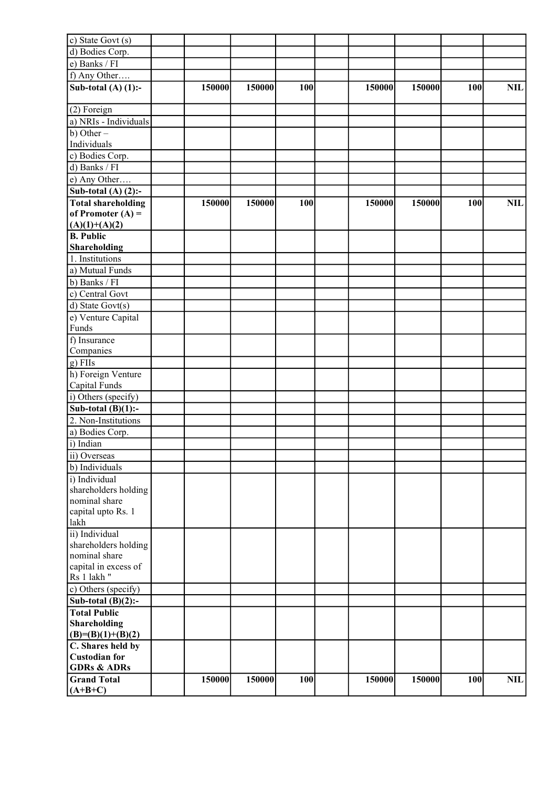| c) State Govt (s)                    |        |        |     |        |        |     |            |
|--------------------------------------|--------|--------|-----|--------|--------|-----|------------|
| d) Bodies Corp.                      |        |        |     |        |        |     |            |
| e) Banks / FI                        |        |        |     |        |        |     |            |
| f) Any Other                         |        |        |     |        |        |     |            |
| Sub-total $(A)$ $(1)$ :-             | 150000 | 150000 | 100 | 150000 | 150000 | 100 | <b>NIL</b> |
|                                      |        |        |     |        |        |     |            |
|                                      |        |        |     |        |        |     |            |
| (2) Foreign<br>a) NRIs - Individuals |        |        |     |        |        |     |            |
|                                      |        |        |     |        |        |     |            |
| $\overline{b}$ ) Other –             |        |        |     |        |        |     |            |
| Individuals                          |        |        |     |        |        |     |            |
| c) Bodies Corp.                      |        |        |     |        |        |     |            |
| d) Banks / FI                        |        |        |     |        |        |     |            |
| e) Any Other                         |        |        |     |        |        |     |            |
| Sub-total $(A)$ $(2)$ :-             |        |        |     |        |        |     |            |
| <b>Total shareholding</b>            | 150000 | 150000 | 100 | 150000 | 150000 | 100 | NIL        |
| of Promoter $(A)$ =                  |        |        |     |        |        |     |            |
| $(A)(1)+(A)(2)$                      |        |        |     |        |        |     |            |
| <b>B.</b> Public                     |        |        |     |        |        |     |            |
| Shareholding                         |        |        |     |        |        |     |            |
| 1. Institutions                      |        |        |     |        |        |     |            |
| a) Mutual Funds                      |        |        |     |        |        |     |            |
| b) Banks / FI                        |        |        |     |        |        |     |            |
| c) Central Govt                      |        |        |     |        |        |     |            |
| d) State Govt $(s)$                  |        |        |     |        |        |     |            |
| e) Venture Capital                   |        |        |     |        |        |     |            |
| Funds                                |        |        |     |        |        |     |            |
| f) Insurance                         |        |        |     |        |        |     |            |
|                                      |        |        |     |        |        |     |            |
| Companies                            |        |        |     |        |        |     |            |
| $g)$ FIIs                            |        |        |     |        |        |     |            |
| h) Foreign Venture                   |        |        |     |        |        |     |            |
| Capital Funds                        |        |        |     |        |        |     |            |
| i) Others (specify)                  |        |        |     |        |        |     |            |
| Sub-total $(B)(1)$ :-                |        |        |     |        |        |     |            |
| 2. Non-Institutions                  |        |        |     |        |        |     |            |
| a) Bodies Corp.                      |        |        |     |        |        |     |            |
| i) Indian                            |        |        |     |        |        |     |            |
| ii) Overseas                         |        |        |     |        |        |     |            |
| b) Individuals                       |        |        |     |        |        |     |            |
| i) Individual                        |        |        |     |        |        |     |            |
| shareholders holding                 |        |        |     |        |        |     |            |
| nominal share                        |        |        |     |        |        |     |            |
| capital upto Rs. 1                   |        |        |     |        |        |     |            |
| lakh                                 |        |        |     |        |        |     |            |
| ii) Individual                       |        |        |     |        |        |     |            |
| shareholders holding                 |        |        |     |        |        |     |            |
| nominal share                        |        |        |     |        |        |     |            |
| capital in excess of                 |        |        |     |        |        |     |            |
| Rs 1 lakh "                          |        |        |     |        |        |     |            |
| c) Others (specify)                  |        |        |     |        |        |     |            |
| Sub-total $(B)(2)$ :-                |        |        |     |        |        |     |            |
| <b>Total Public</b>                  |        |        |     |        |        |     |            |
| <b>Shareholding</b>                  |        |        |     |        |        |     |            |
| $(B)=(B)(1)+(B)(2)$                  |        |        |     |        |        |     |            |
| C. Shares held by                    |        |        |     |        |        |     |            |
| <b>Custodian for</b>                 |        |        |     |        |        |     |            |
| <b>GDRs &amp; ADRs</b>               |        |        |     |        |        |     |            |
| <b>Grand Total</b>                   | 150000 | 150000 | 100 | 150000 | 150000 | 100 | NIL        |
| $(A+B+C)$                            |        |        |     |        |        |     |            |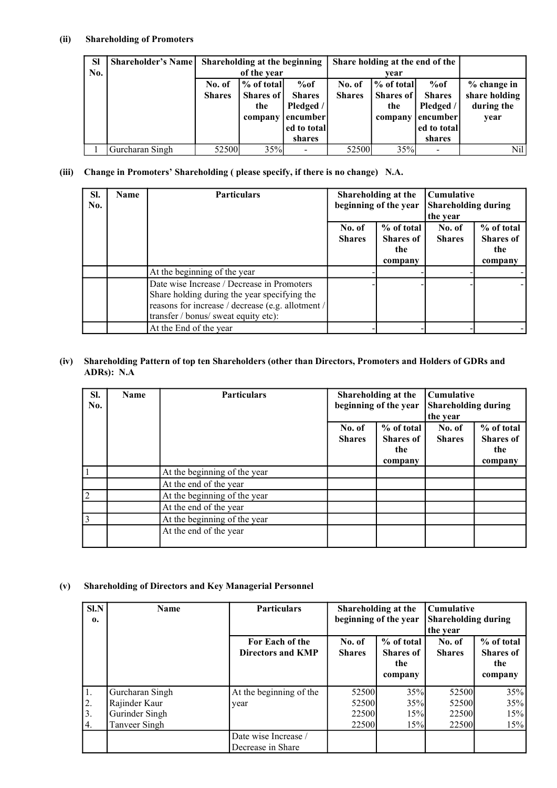### (ii) Shareholding of Promoters

| <b>SI</b> | <b>Shareholder's Name</b> |               | Shareholding at the beginning |               |               | Share holding at the end of the |               |               |
|-----------|---------------------------|---------------|-------------------------------|---------------|---------------|---------------------------------|---------------|---------------|
| No.       |                           |               | of the year                   |               | vear          |                                 |               |               |
|           |                           | No. of        | % of total                    | %of           | No. of        | % of total                      | %of           | $%$ change in |
|           |                           | <b>Shares</b> | Shares of                     | <b>Shares</b> | <b>Shares</b> | Shares of                       | <b>Shares</b> | share holding |
|           |                           |               | the                           | Pledged /     |               | the                             | Pledged /     | during the    |
|           |                           |               | company                       | encumber      |               | company                         | encumber      | year          |
|           |                           |               |                               | ed to total   |               |                                 | ed to total   |               |
|           |                           |               |                               | shares        |               |                                 | shares        |               |
|           | Gurcharan Singh           | 52500         | 35%                           |               | 52500         | 35%                             |               | Nil           |

### (iii) Change in Promoters' Shareholding ( please specify, if there is no change) N.A.

| SI.<br>No. | Name | <b>Particulars</b>                                                                                                                                                                      | Shareholding at the<br>beginning of the year |                                                  | <b>Cumulative</b><br><b>Shareholding during</b><br>the year |                                                  |  |
|------------|------|-----------------------------------------------------------------------------------------------------------------------------------------------------------------------------------------|----------------------------------------------|--------------------------------------------------|-------------------------------------------------------------|--------------------------------------------------|--|
|            |      |                                                                                                                                                                                         | No. of<br><b>Shares</b>                      | % of total<br><b>Shares</b> of<br>the<br>company | No. of<br><b>Shares</b>                                     | % of total<br><b>Shares</b> of<br>the<br>company |  |
|            |      | At the beginning of the year                                                                                                                                                            |                                              |                                                  |                                                             |                                                  |  |
|            |      | Date wise Increase / Decrease in Promoters<br>Share holding during the year specifying the<br>reasons for increase / decrease (e.g. allotment /<br>transfer / bonus/ sweat equity etc): |                                              |                                                  |                                                             |                                                  |  |
|            |      | At the End of the year                                                                                                                                                                  |                                              |                                                  |                                                             |                                                  |  |

#### (iv) Shareholding Pattern of top ten Shareholders (other than Directors, Promoters and Holders of GDRs and ADRs): N.A

| SI.<br>No.     | <b>Name</b> | <b>Particulars</b><br>Shareholding at the<br>beginning of the year |                         |                                                  | Cumulative<br><b>Shareholding during</b><br>the year |                                                  |  |
|----------------|-------------|--------------------------------------------------------------------|-------------------------|--------------------------------------------------|------------------------------------------------------|--------------------------------------------------|--|
|                |             |                                                                    | No. of<br><b>Shares</b> | % of total<br><b>Shares</b> of<br>the<br>company | No. of<br><b>Shares</b>                              | % of total<br><b>Shares</b> of<br>the<br>company |  |
|                |             | At the beginning of the year                                       |                         |                                                  |                                                      |                                                  |  |
|                |             | At the end of the year                                             |                         |                                                  |                                                      |                                                  |  |
| $\overline{2}$ |             | At the beginning of the year                                       |                         |                                                  |                                                      |                                                  |  |
|                |             | At the end of the year                                             |                         |                                                  |                                                      |                                                  |  |
|                |             | At the beginning of the year                                       |                         |                                                  |                                                      |                                                  |  |
|                |             | At the end of the year                                             |                         |                                                  |                                                      |                                                  |  |

# (v) Shareholding of Directors and Key Managerial Personnel

| Sl.N<br>0.           | <b>Name</b>                                                         | <b>Particulars</b>                          |                                  | Shareholding at the<br>beginning of the year     | <b>Cumulative</b><br><b>Shareholding during</b><br>the year |                                                  |  |
|----------------------|---------------------------------------------------------------------|---------------------------------------------|----------------------------------|--------------------------------------------------|-------------------------------------------------------------|--------------------------------------------------|--|
|                      |                                                                     | For Each of the<br><b>Directors and KMP</b> | No. of<br><b>Shares</b>          | % of total<br><b>Shares of</b><br>the<br>company | No. of<br><b>Shares</b>                                     | % of total<br><b>Shares</b> of<br>the<br>company |  |
| 1.<br>2.<br>3.<br>4. | Gurcharan Singh<br>Rajinder Kaur<br>Gurinder Singh<br>Tanveer Singh | At the beginning of the<br>year             | 52500<br>52500<br>22500<br>22500 | 35%<br>35%<br>15%<br>15%                         | 52500<br>52500<br>22500<br>22500                            | 35%<br>35%<br>15%<br>15%                         |  |
|                      |                                                                     | Date wise Increase /<br>Decrease in Share   |                                  |                                                  |                                                             |                                                  |  |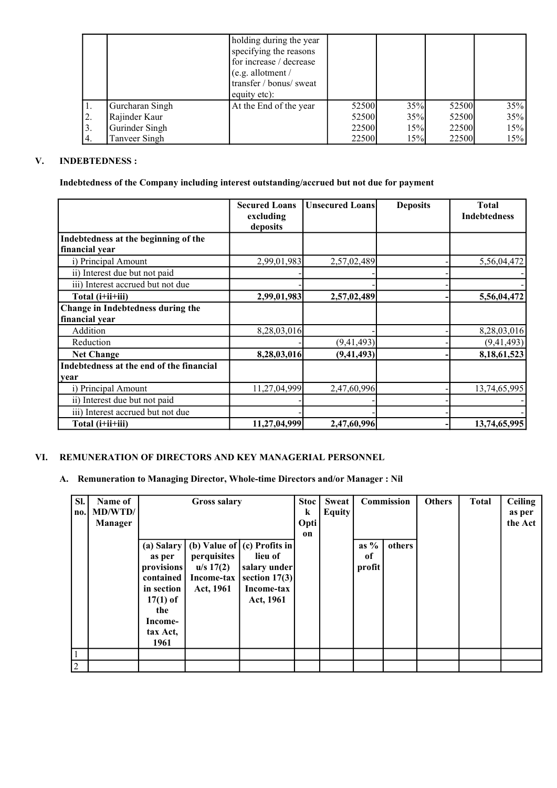|    |                 | holding during the year |       |     |       |     |
|----|-----------------|-------------------------|-------|-----|-------|-----|
|    |                 | specifying the reasons  |       |     |       |     |
|    |                 | for increase / decrease |       |     |       |     |
|    |                 | $(e.g.$ allotment /     |       |     |       |     |
|    |                 | transfer / bonus/ sweat |       |     |       |     |
|    |                 | equity etc):            |       |     |       |     |
| 1. | Gurcharan Singh | At the End of the year  | 52500 | 35% | 52500 | 35% |
| 2. | Rajinder Kaur   |                         | 52500 | 35% | 52500 | 35% |
| 3. | Gurinder Singh  |                         | 22500 | 15% | 22500 | 15% |
|    | Tanveer Singh   |                         | 22500 | 15% | 22500 | 15% |

## V. INDEBTEDNESS :

Indebtedness of the Company including interest outstanding/accrued but not due for payment

|                                          | <b>Secured Loans</b><br>excluding<br>deposits | <b>Unsecured Loans</b> | <b>Deposits</b> | <b>Total</b><br><b>Indebtedness</b> |
|------------------------------------------|-----------------------------------------------|------------------------|-----------------|-------------------------------------|
| Indebtedness at the beginning of the     |                                               |                        |                 |                                     |
| financial year                           |                                               |                        |                 |                                     |
| i) Principal Amount                      | 2,99,01,983                                   | 2,57,02,489            |                 | 5,56,04,472                         |
| ii) Interest due but not paid            |                                               |                        |                 |                                     |
| iii) Interest accrued but not due        |                                               |                        |                 |                                     |
| Total (i+ii+iii)                         | 2,99,01,983                                   | 2,57,02,489            |                 | 5,56,04,472                         |
| Change in Indebtedness during the        |                                               |                        |                 |                                     |
| financial year                           |                                               |                        |                 |                                     |
| Addition                                 | 8,28,03,016                                   |                        |                 | 8,28,03,016                         |
| Reduction                                |                                               | (9,41,493)             |                 | (9,41,493)                          |
| <b>Net Change</b>                        | 8,28,03,016                                   | (9, 41, 493)           |                 | 8,18,61,523                         |
| Indebtedness at the end of the financial |                                               |                        |                 |                                     |
| year                                     |                                               |                        |                 |                                     |
| i) Principal Amount                      | 11,27,04,999                                  | 2,47,60,996            |                 | 13,74,65,995                        |
| ii) Interest due but not paid            |                                               |                        |                 |                                     |
| iii) Interest accrued but not due        |                                               |                        |                 |                                     |
| Total (i+ii+iii)                         | 11,27,04,999                                  | 2,47,60,996            |                 | 13,74,65,995                        |

# VI. REMUNERATION OF DIRECTORS AND KEY MANAGERIAL PERSONNEL

### A. Remuneration to Managing Director, Whole-time Directors and/or Manager : Nil

| SI.<br>$\mathbf{n}$ . | Name of<br><b>MD/WTD/</b><br><b>Manager</b> | <b>Gross salary</b>                                                                                 |                                                     |                                                                                                                       |  | <b>Stoc</b><br>k<br>Opti<br>on | <b>Sweat</b><br><b>Equity</b> |        | Commission | <b>Others</b> | <b>Total</b> | Ceiling<br>as per<br>the Act |
|-----------------------|---------------------------------------------|-----------------------------------------------------------------------------------------------------|-----------------------------------------------------|-----------------------------------------------------------------------------------------------------------------------|--|--------------------------------|-------------------------------|--------|------------|---------------|--------------|------------------------------|
|                       |                                             | as per<br>provisions<br>contained<br>in section<br>$17(1)$ of<br>the<br>Income-<br>tax Act,<br>1961 | perquisites<br>u/s 17(2)<br>Income-tax<br>Act, 1961 | (a) Salary   (b) Value of $ $ (c) Profits in<br>lieu of<br>salary under<br>section $17(3)$<br>Income-tax<br>Act, 1961 |  |                                | as $%$<br>of<br>profit        | others |            |               |              |                              |
|                       |                                             |                                                                                                     |                                                     |                                                                                                                       |  |                                |                               |        |            |               |              |                              |
| $\overline{2}$        |                                             |                                                                                                     |                                                     |                                                                                                                       |  |                                |                               |        |            |               |              |                              |